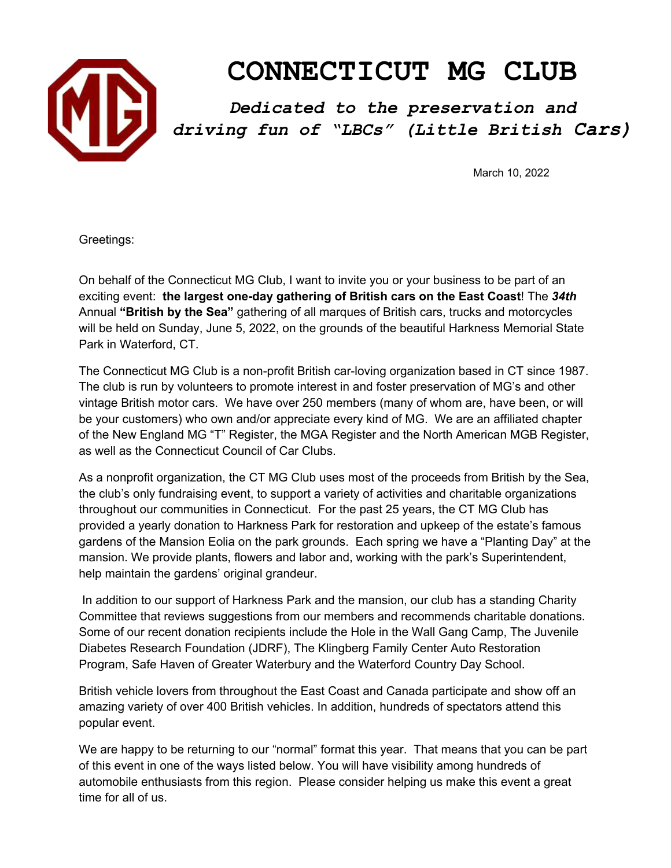

## **CONNECTICUT MG CLUB**

*Dedicated to the preservation and driving fun of "LBCs" (Little British Cars)*

March 10, 2022

Greetings:

On behalf of the Connecticut MG Club, I want to invite you or your business to be part of an exciting event: **the largest one-day gathering of British cars on the East Coast**! The *34th* Annual **"British by the Sea"** gathering of all marques of British cars, trucks and motorcycles will be held on Sunday, June 5, 2022, on the grounds of the beautiful Harkness Memorial State Park in Waterford, CT.

The Connecticut MG Club is a non-profit British car-loving organization based in CT since 1987. The club is run by volunteers to promote interest in and foster preservation of MG's and other vintage British motor cars. We have over 250 members (many of whom are, have been, or will be your customers) who own and/or appreciate every kind of MG. We are an affiliated chapter of the New England MG "T" Register, the MGA Register and the North American MGB Register, as well as the Connecticut Council of Car Clubs.

As a nonprofit organization, the CT MG Club uses most of the proceeds from British by the Sea, the club's only fundraising event, to support a variety of activities and charitable organizations throughout our communities in Connecticut. For the past 25 years, the CT MG Club has provided a yearly donation to Harkness Park for restoration and upkeep of the estate's famous gardens of the Mansion Eolia on the park grounds. Each spring we have a "Planting Day" at the mansion. We provide plants, flowers and labor and, working with the park's Superintendent, help maintain the gardens' original grandeur.

In addition to our support of Harkness Park and the mansion, our club has a standing Charity Committee that reviews suggestions from our members and recommends charitable donations. Some of our recent donation recipients include the Hole in the Wall Gang Camp, The Juvenile Diabetes Research Foundation (JDRF), The Klingberg Family Center Auto Restoration Program, Safe Haven of Greater Waterbury and the Waterford Country Day School.

British vehicle lovers from throughout the East Coast and Canada participate and show off an amazing variety of over 400 British vehicles. In addition, hundreds of spectators attend this popular event.

We are happy to be returning to our "normal" format this year. That means that you can be part of this event in one of the ways listed below. You will have visibility among hundreds of automobile enthusiasts from this region. Please consider helping us make this event a great time for all of us.